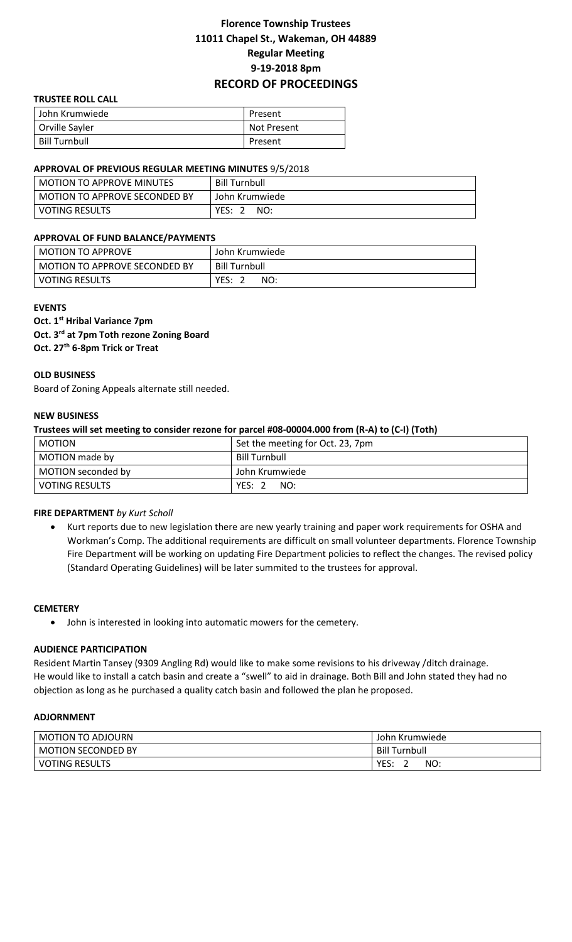# **Florence Township Trustees 11011 Chapel St., Wakeman, OH 44889 Regular Meeting 9-19-2018 8pm RECORD OF PROCEEDINGS**

#### **TRUSTEE ROLL CALL**

| John Krumwiede | Present            |
|----------------|--------------------|
| Orville Sayler | <b>Not Present</b> |
| Bill Turnbull  | Present            |

#### **APPROVAL OF PREVIOUS REGULAR MEETING MINUTES** 9/5/2018

| l MOTION TO APPROVE MINUTES     | <b>Bill Turnbull</b> |
|---------------------------------|----------------------|
| l MOTION TO APPROVE SECONDED BY | John Krumwiede       |
| l VOTING RESULTS                | YES:<br>NO:          |

### **APPROVAL OF FUND BALANCE/PAYMENTS**

| <b>MOTION TO APPROVE</b>      | John Krumwiede       |
|-------------------------------|----------------------|
| MOTION TO APPROVE SECONDED BY | <b>Bill Turnbull</b> |
| <b>VOTING RESULTS</b>         | YES:<br>NO:          |

#### **EVENTS**

**Oct. 1st Hribal Variance 7pm Oct. 3rd at 7pm Toth rezone Zoning Board Oct. 27th 6-8pm Trick or Treat**

## **OLD BUSINESS**

Board of Zoning Appeals alternate still needed.

## **NEW BUSINESS**

**Trustees will set meeting to consider rezone for parcel #08-00004.000 from (R-A) to (C-I) (Toth)**

| <b>MOTION</b>         | Set the meeting for Oct. 23, 7pm |
|-----------------------|----------------------------------|
| MOTION made by        | Bill Turnbull                    |
| MOTION seconded by    | John Krumwiede                   |
| <b>VOTING RESULTS</b> | YES: 2<br>NO:                    |

### **FIRE DEPARTMENT** *by Kurt Scholl*

 Kurt reports due to new legislation there are new yearly training and paper work requirements for OSHA and Workman's Comp. The additional requirements are difficult on small volunteer departments. Florence Township Fire Department will be working on updating Fire Department policies to reflect the changes. The revised policy (Standard Operating Guidelines) will be later summited to the trustees for approval.

### **CEMETERY**

John is interested in looking into automatic mowers for the cemetery.

### **AUDIENCE PARTICIPATION**

Resident Martin Tansey (9309 Angling Rd) would like to make some revisions to his driveway /ditch drainage. He would like to install a catch basin and create a "swell" to aid in drainage. Both Bill and John stated they had no objection as long as he purchased a quality catch basin and followed the plan he proposed.

# **ADJORNMENT**

| MOTION TO ADJOURN         | John Krumwiede       |
|---------------------------|----------------------|
| <b>MOTION SECONDED BY</b> | <b>Bill Turnbull</b> |
| <b>VOTING RESULTS</b>     | YES.<br>NO:          |